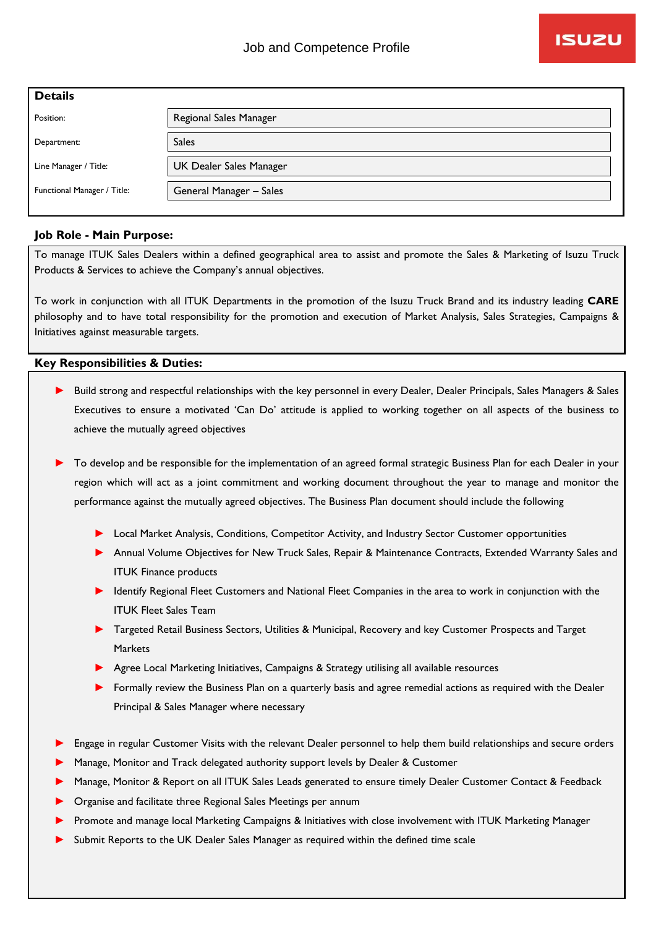| <b>Details</b>              |                         |
|-----------------------------|-------------------------|
| Position:                   | Regional Sales Manager  |
| Department:                 | <b>Sales</b>            |
| Line Manager / Title:       | UK Dealer Sales Manager |
| Functional Manager / Title: | General Manager - Sales |
|                             |                         |

## **Job Role - Main Purpose:**

To manage ITUK Sales Dealers within a defined geographical area to assist and promote the Sales & Marketing of Isuzu Truck Products & Services to achieve the Company's annual objectives.

To work in conjunction with all ITUK Departments in the promotion of the Isuzu Truck Brand and its industry leading **CARE**  philosophy and to have total responsibility for the promotion and execution of Market Analysis, Sales Strategies, Campaigns & Initiatives against measurable targets.

## **Key Responsibilities & Duties:**

- ► Build strong and respectful relationships with the key personnel in every Dealer, Dealer Principals, Sales Managers & Sales Executives to ensure a motivated 'Can Do' attitude is applied to working together on all aspects of the business to achieve the mutually agreed objectives
- To develop and be responsible for the implementation of an agreed formal strategic Business Plan for each Dealer in your region which will act as a joint commitment and working document throughout the year to manage and monitor the performance against the mutually agreed objectives. The Business Plan document should include the following
	- ► Local Market Analysis, Conditions, Competitor Activity, and Industry Sector Customer opportunities
	- ► Annual Volume Objectives for New Truck Sales, Repair & Maintenance Contracts, Extended Warranty Sales and ITUK Finance products
	- ► Identify Regional Fleet Customers and National Fleet Companies in the area to work in conjunction with the ITUK Fleet Sales Team
	- ► Targeted Retail Business Sectors, Utilities & Municipal, Recovery and key Customer Prospects and Target **Markets**
	- ► Agree Local Marketing Initiatives, Campaigns & Strategy utilising all available resources
	- ► Formally review the Business Plan on a quarterly basis and agree remedial actions as required with the Dealer Principal & Sales Manager where necessary
- ► Engage in regular Customer Visits with the relevant Dealer personnel to help them build relationships and secure orders
- Manage, Monitor and Track delegated authority support levels by Dealer & Customer
- Manage, Monitor & Report on all ITUK Sales Leads generated to ensure timely Dealer Customer Contact & Feedback
- Organise and facilitate three Regional Sales Meetings per annum
- Promote and manage local Marketing Campaigns & Initiatives with close involvement with ITUK Marketing Manager
- Submit Reports to the UK Dealer Sales Manager as required within the defined time scale